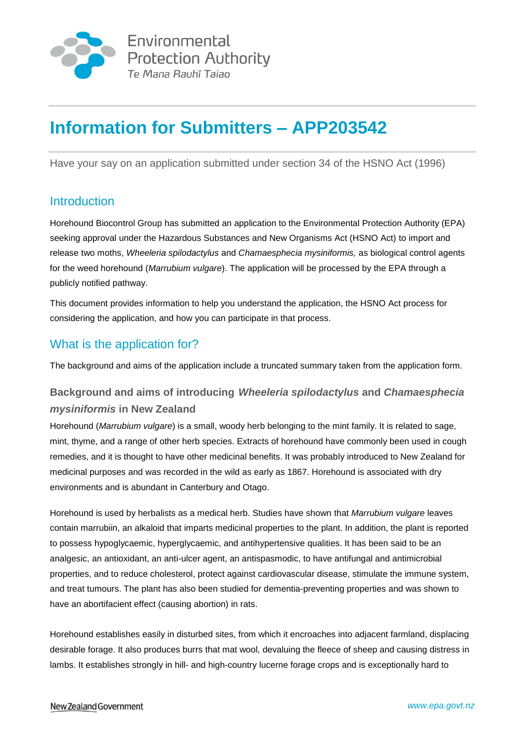

# **Information for Submitters – APP203542**

Have your say on an application submitted under section 34 of the HSNO Act (1996)

# **Introduction**

Horehound Biocontrol Group has submitted an application to the Environmental Protection Authority (EPA) seeking approval under the Hazardous Substances and New Organisms Act (HSNO Act) to import and release two moths, *Wheeleria spilodactylus* and *Chamaesphecia mysiniformis,* as biological control agents for the weed horehound (*Marrubium vulgare*). The application will be processed by the EPA through a publicly notified pathway.

This document provides information to help you understand the application, the HSNO Act process for considering the application, and how you can participate in that process.

# What is the application for?

The background and aims of the application include a truncated summary taken from the application form.

# **Background and aims of introducing** *Wheeleria spilodactylus* **and** *Chamaesphecia mysiniformis* **in New Zealand**

Horehound (*Marrubium vulgare*) is a small, woody herb belonging to the mint family. It is related to sage, mint, thyme, and a range of other herb species. Extracts of horehound have commonly been used in cough remedies, and it is thought to have other medicinal benefits. It was probably introduced to New Zealand for medicinal purposes and was recorded in the wild as early as 1867. Horehound is associated with dry environments and is abundant in Canterbury and Otago.

Horehound is used by herbalists as a medical herb. Studies have shown that *Marrubium vulgare* leaves contain marrubiin, an alkaloid that imparts medicinal properties to the plant. In addition, the plant is reported to possess hypoglycaemic, hyperglycaemic, and antihypertensive qualities. It has been said to be an analgesic, an antioxidant, an anti-ulcer agent, an antispasmodic, to have antifungal and antimicrobial properties, and to reduce cholesterol, protect against cardiovascular disease, stimulate the immune system, and treat tumours. The plant has also been studied for dementia-preventing properties and was shown to have an abortifacient effect (causing abortion) in rats.

Horehound establishes easily in disturbed sites, from which it encroaches into adjacent farmland, displacing desirable forage. It also produces burrs that mat wool, devaluing the fleece of sheep and causing distress in lambs. It establishes strongly in hill- and high-country lucerne forage crops and is exceptionally hard to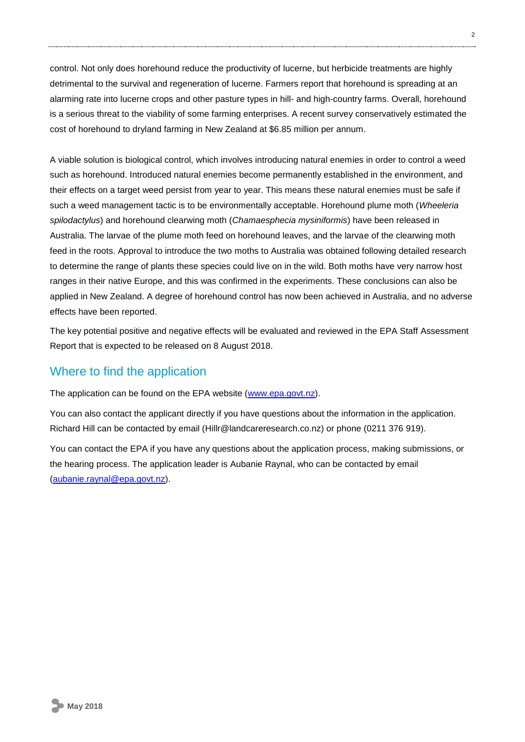control. Not only does horehound reduce the productivity of lucerne, but herbicide treatments are highly detrimental to the survival and regeneration of lucerne. Farmers report that horehound is spreading at an alarming rate into lucerne crops and other pasture types in hill- and high-country farms. Overall, horehound is a serious threat to the viability of some farming enterprises. A recent survey conservatively estimated the cost of horehound to dryland farming in New Zealand at \$6.85 million per annum.

A viable solution is biological control, which involves introducing natural enemies in order to control a weed such as horehound. Introduced natural enemies become permanently established in the environment, and their effects on a target weed persist from year to year. This means these natural enemies must be safe if such a weed management tactic is to be environmentally acceptable. Horehound plume moth (*Wheeleria spilodactylus*) and horehound clearwing moth (*Chamaesphecia mysiniformis*) have been released in Australia. The larvae of the plume moth feed on horehound leaves, and the larvae of the clearwing moth feed in the roots. Approval to introduce the two moths to Australia was obtained following detailed research to determine the range of plants these species could live on in the wild. Both moths have very narrow host ranges in their native Europe, and this was confirmed in the experiments. These conclusions can also be applied in New Zealand. A degree of horehound control has now been achieved in Australia, and no adverse effects have been reported.

The key potential positive and negative effects will be evaluated and reviewed in the EPA Staff Assessment Report that is expected to be released on 8 August 2018.

### Where to find the application

The application can be found on the EPA website [\(www.epa.govt.nz\)](http://www.epa.govt.nz/).

You can also contact the applicant directly if you have questions about the information in the application. Richard Hill can be contacted by email (Hillr@landcareresearch.co.nz) or phone (0211 376 919).

You can contact the EPA if you have any questions about the application process, making submissions, or the hearing process. The application leader is Aubanie Raynal, who can be contacted by email [\(aubanie.raynal@epa.govt.nz\)](mailto:aubanie.raynal@epa.govt.nz).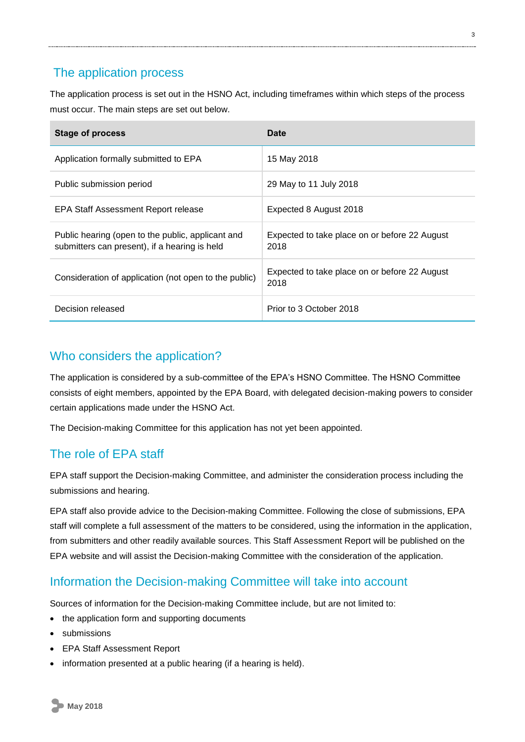### The application process

The application process is set out in the HSNO Act, including timeframes within which steps of the process must occur. The main steps are set out below.

| <b>Stage of process</b>                                                                            | Date                                                  |
|----------------------------------------------------------------------------------------------------|-------------------------------------------------------|
| Application formally submitted to EPA                                                              | 15 May 2018                                           |
| Public submission period                                                                           | 29 May to 11 July 2018                                |
| EPA Staff Assessment Report release                                                                | Expected 8 August 2018                                |
| Public hearing (open to the public, applicant and<br>submitters can present), if a hearing is held | Expected to take place on or before 22 August<br>2018 |
| Consideration of application (not open to the public)                                              | Expected to take place on or before 22 August<br>2018 |
| Decision released                                                                                  | Prior to 3 October 2018                               |

### Who considers the application?

The application is considered by a sub-committee of the EPA's HSNO Committee. The HSNO Committee consists of eight members, appointed by the EPA Board, with delegated decision-making powers to consider certain applications made under the HSNO Act.

The Decision-making Committee for this application has not yet been appointed.

# The role of EPA staff

EPA staff support the Decision-making Committee, and administer the consideration process including the submissions and hearing.

EPA staff also provide advice to the Decision-making Committee. Following the close of submissions, EPA staff will complete a full assessment of the matters to be considered, using the information in the application, from submitters and other readily available sources. This Staff Assessment Report will be published on the EPA website and will assist the Decision-making Committee with the consideration of the application.

# Information the Decision-making Committee will take into account

Sources of information for the Decision-making Committee include, but are not limited to:

- the application form and supporting documents
- submissions
- EPA Staff Assessment Report
- information presented at a public hearing (if a hearing is held).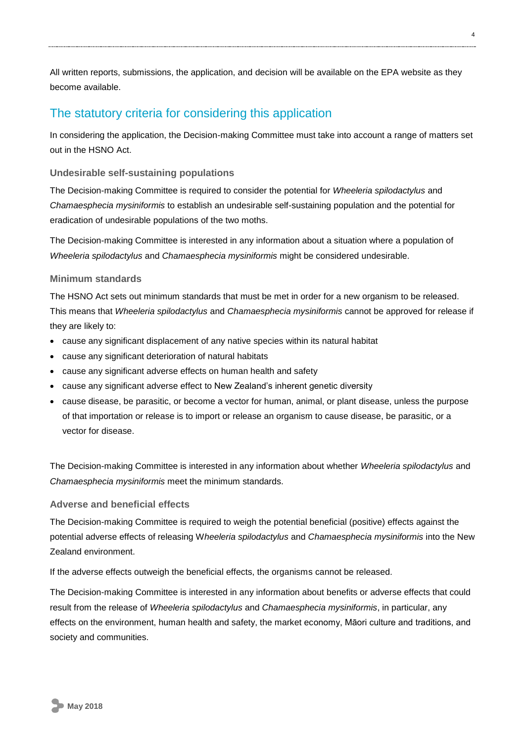All written reports, submissions, the application, and decision will be available on the EPA website as they become available.

### The statutory criteria for considering this application

In considering the application, the Decision-making Committee must take into account a range of matters set out in the HSNO Act.

#### **Undesirable self-sustaining populations**

The Decision-making Committee is required to consider the potential for *Wheeleria spilodactylus* and *Chamaesphecia mysiniformis* to establish an undesirable self-sustaining population and the potential for eradication of undesirable populations of the two moths.

The Decision-making Committee is interested in any information about a situation where a population of *Wheeleria spilodactylus* and *Chamaesphecia mysiniformis* might be considered undesirable.

#### **Minimum standards**

The HSNO Act sets out minimum standards that must be met in order for a new organism to be released. This means that *Wheeleria spilodactylus* and *Chamaesphecia mysiniformis* cannot be approved for release if they are likely to:

- cause any significant displacement of any native species within its natural habitat
- cause any significant deterioration of natural habitats
- cause any significant adverse effects on human health and safety
- cause any significant adverse effect to New Zealand's inherent genetic diversity
- cause disease, be parasitic, or become a vector for human, animal, or plant disease, unless the purpose of that importation or release is to import or release an organism to cause disease, be parasitic, or a vector for disease.

The Decision-making Committee is interested in any information about whether *Wheeleria spilodactylus* and *Chamaesphecia mysiniformis* meet the minimum standards.

#### **Adverse and beneficial effects**

The Decision-making Committee is required to weigh the potential beneficial (positive) effects against the potential adverse effects of releasing W*heeleria spilodactylus* and *Chamaesphecia mysiniformis* into the New Zealand environment.

If the adverse effects outweigh the beneficial effects, the organisms cannot be released.

The Decision-making Committee is interested in any information about benefits or adverse effects that could result from the release of *Wheeleria spilodactylus* and *Chamaesphecia mysiniformis*, in particular, any effects on the environment, human health and safety, the market economy, Māori culture and traditions, and society and communities.